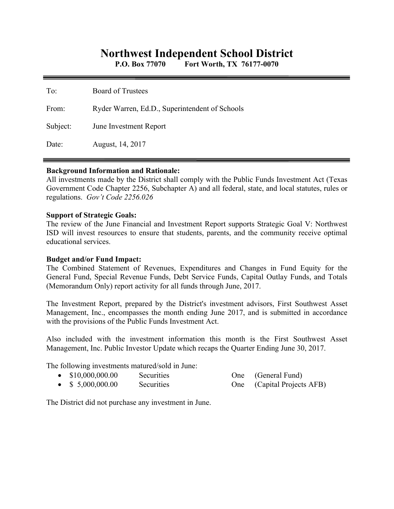# **Northwest Independent School District**

**P.O. Box 77070 Fort Worth, TX 76177-0070** 

| To:      | <b>Board of Trustees</b>                       |
|----------|------------------------------------------------|
| From:    | Ryder Warren, Ed.D., Superintendent of Schools |
| Subject: | June Investment Report                         |
| Date:    | August, 14, 2017                               |

### **Background Information and Rationale:**

All investments made by the District shall comply with the Public Funds Investment Act (Texas Government Code Chapter 2256, Subchapter A) and all federal, state, and local statutes, rules or regulations. *Gov't Code 2256.026* 

### **Support of Strategic Goals:**

The review of the June Financial and Investment Report supports Strategic Goal V: Northwest ISD will invest resources to ensure that students, parents, and the community receive optimal educational services.

## **Budget and/or Fund Impact:**

The Combined Statement of Revenues, Expenditures and Changes in Fund Equity for the General Fund, Special Revenue Funds, Debt Service Funds, Capital Outlay Funds, and Totals (Memorandum Only) report activity for all funds through June, 2017.

The Investment Report, prepared by the District's investment advisors, First Southwest Asset Management, Inc., encompasses the month ending June 2017, and is submitted in accordance with the provisions of the Public Funds Investment Act.

Also included with the investment information this month is the First Southwest Asset Management, Inc. Public Investor Update which recaps the Quarter Ending June 30, 2017.

The following investments matured/sold in June:

| $\bullet$ \$10,000,000.00 | <b>Securities</b> | One (General Fund)         |
|---------------------------|-------------------|----------------------------|
| $\bullet$ \$ 5,000,000.00 | Securities        | One (Capital Projects AFB) |

The District did not purchase any investment in June.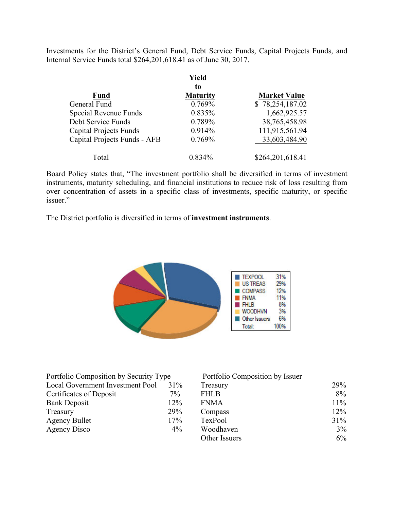Investments for the District's General Fund, Debt Service Funds, Capital Projects Funds, and Internal Service Funds total \$264,201,618.41 as of June 30, 2017.

|                               | Yield<br>to     |                     |
|-------------------------------|-----------------|---------------------|
| <b>Fund</b>                   | <b>Maturity</b> | <b>Market Value</b> |
| General Fund                  | 0.769%          | \$78,254,187.02     |
| Special Revenue Funds         | 0.835%          | 1,662,925.57        |
| Debt Service Funds            | 0.789%          | 38,765,458.98       |
| <b>Capital Projects Funds</b> | 0.914%          | 111,915,561.94      |
| Capital Projects Funds - AFB  | 0.769%          | 33,603,484.90       |
| Total                         | $0.834\%$       | \$264,201,618.41    |

Board Policy states that, "The investment portfolio shall be diversified in terms of investment instruments, maturity scheduling, and financial institutions to reduce risk of loss resulting from over concentration of assets in a specific class of investments, specific maturity, or specific issuer."

The District portfolio is diversified in terms of **investment instruments**.



| Portfolio Composition by Security Type |        | Portfolio Composition by Issuer |        |
|----------------------------------------|--------|---------------------------------|--------|
| Local Government Investment Pool       | $31\%$ | Treasury                        | 29%    |
| Certificates of Deposit                | $7\%$  | <b>FHLB</b>                     | $8\%$  |
| <b>Bank Deposit</b>                    | 12%    | <b>FNMA</b>                     | $11\%$ |
| Treasury                               | 29%    | Compass                         | 12%    |
| <b>Agency Bullet</b>                   | 17%    | TexPool                         | 31%    |
| Agency Disco                           | $4\%$  | Woodhaven                       | 3%     |
|                                        |        | Other Issuers                   | $6\%$  |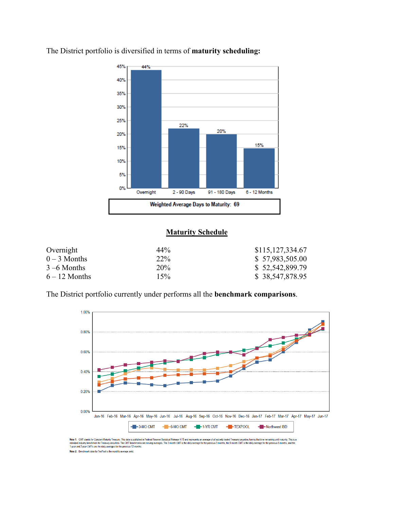

The District portfolio is diversified in terms of **maturity scheduling:** 

# **Maturity Schedule**

| Overnight       | 44% | \$115,127,334.67 |
|-----------------|-----|------------------|
| $0-3$ Months    | 22% | \$57,983,505.00  |
| $3 - 6$ Months  | 20% | \$52,542,899.79  |
| $6 - 12$ Months | 15% | \$38,547,878.95  |

The District portfolio currently under performs all the **benchmark comparisons**.



Note 1: CMT stands for Constant Maturity Treasury. This data is published in Federal Reserve Ratistical Release H15 and represents an average of all actively traded Treasury securities having that time remaining undimaturi ase H.15 and r Note 2: Benchmark data for TexPool is the monthly average yield.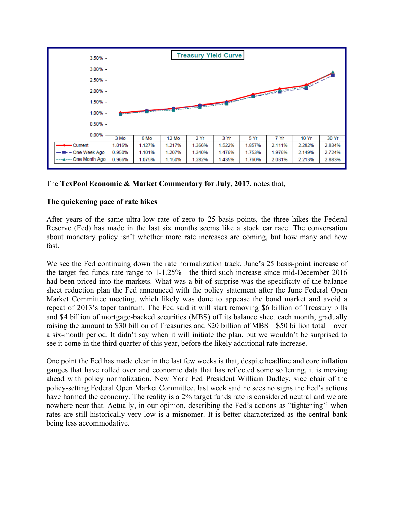

## The **TexPool Economic & Market Commentary for July, 2017**, notes that,

## **The quickening pace of rate hikes**

After years of the same ultra-low rate of zero to 25 basis points, the three hikes the Federal Reserve (Fed) has made in the last six months seems like a stock car race. The conversation about monetary policy isn't whether more rate increases are coming, but how many and how fast.

We see the Fed continuing down the rate normalization track. June's 25 basis-point increase of the target fed funds rate range to 1-1.25%—the third such increase since mid-December 2016 had been priced into the markets. What was a bit of surprise was the specificity of the balance sheet reduction plan the Fed announced with the policy statement after the June Federal Open Market Committee meeting, which likely was done to appease the bond market and avoid a repeat of 2013's taper tantrum. The Fed said it will start removing \$6 billion of Treasury bills and \$4 billion of mortgage-backed securities (MBS) off its balance sheet each month, gradually raising the amount to \$30 billion of Treasuries and \$20 billion of MBS—\$50 billion total—over a six-month period. It didn't say when it will initiate the plan, but we wouldn't be surprised to see it come in the third quarter of this year, before the likely additional rate increase.

One point the Fed has made clear in the last few weeks is that, despite headline and core inflation gauges that have rolled over and economic data that has reflected some softening, it is moving ahead with policy normalization. New York Fed President William Dudley, vice chair of the policy-setting Federal Open Market Committee, last week said he sees no signs the Fed's actions have harmed the economy. The reality is a 2% target funds rate is considered neutral and we are nowhere near that. Actually, in our opinion, describing the Fed's actions as "tightening'' when rates are still historically very low is a misnomer. It is better characterized as the central bank being less accommodative.